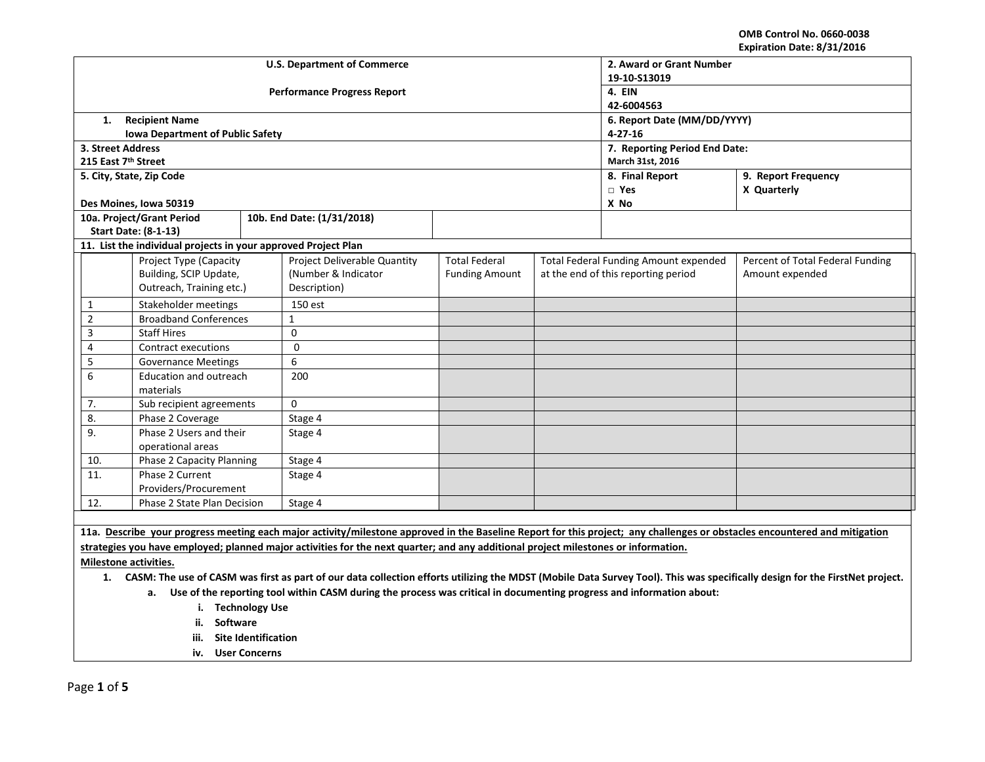**OMB Control No. 0660-0038 Expiration Date: 8/31/2016**

| Expiration Date: 6/31/2016                                                                                                                                                     |                                                                |                                     |                             |                                              |                                     |                                  |  |
|--------------------------------------------------------------------------------------------------------------------------------------------------------------------------------|----------------------------------------------------------------|-------------------------------------|-----------------------------|----------------------------------------------|-------------------------------------|----------------------------------|--|
|                                                                                                                                                                                |                                                                | <b>U.S. Department of Commerce</b>  | 2. Award or Grant Number    |                                              |                                     |                                  |  |
|                                                                                                                                                                                |                                                                |                                     | 19-10-S13019                |                                              |                                     |                                  |  |
|                                                                                                                                                                                |                                                                | <b>Performance Progress Report</b>  | 4. EIN                      |                                              |                                     |                                  |  |
|                                                                                                                                                                                |                                                                |                                     | 42-6004563                  |                                              |                                     |                                  |  |
| 1.                                                                                                                                                                             | <b>Recipient Name</b>                                          |                                     | 6. Report Date (MM/DD/YYYY) |                                              |                                     |                                  |  |
|                                                                                                                                                                                | <b>Iowa Department of Public Safety</b>                        |                                     |                             |                                              | $4 - 27 - 16$                       |                                  |  |
| 3. Street Address                                                                                                                                                              |                                                                |                                     |                             |                                              | 7. Reporting Period End Date:       |                                  |  |
| 215 East 7th Street                                                                                                                                                            |                                                                |                                     |                             |                                              | March 31st, 2016                    |                                  |  |
|                                                                                                                                                                                | 5. City, State, Zip Code                                       |                                     |                             |                                              | 8. Final Report                     | 9. Report Frequency              |  |
|                                                                                                                                                                                |                                                                |                                     |                             |                                              | $\Box$ Yes                          | X Quarterly                      |  |
|                                                                                                                                                                                | Des Moines, Iowa 50319                                         |                                     |                             |                                              | X No                                |                                  |  |
|                                                                                                                                                                                | 10a. Project/Grant Period                                      | 10b. End Date: (1/31/2018)          |                             |                                              |                                     |                                  |  |
|                                                                                                                                                                                | <b>Start Date: (8-1-13)</b>                                    |                                     |                             |                                              |                                     |                                  |  |
|                                                                                                                                                                                | 11. List the individual projects in your approved Project Plan |                                     |                             |                                              |                                     |                                  |  |
|                                                                                                                                                                                | <b>Project Type (Capacity</b>                                  | <b>Project Deliverable Quantity</b> | <b>Total Federal</b>        | <b>Total Federal Funding Amount expended</b> |                                     | Percent of Total Federal Funding |  |
|                                                                                                                                                                                | Building, SCIP Update,                                         | (Number & Indicator                 | <b>Funding Amount</b>       |                                              | at the end of this reporting period | Amount expended                  |  |
|                                                                                                                                                                                | Outreach, Training etc.)                                       | Description)                        |                             |                                              |                                     |                                  |  |
| 1                                                                                                                                                                              | Stakeholder meetings                                           | 150 est                             |                             |                                              |                                     |                                  |  |
| $\overline{2}$                                                                                                                                                                 | <b>Broadband Conferences</b>                                   | $\mathbf{1}$                        |                             |                                              |                                     |                                  |  |
| 3                                                                                                                                                                              | <b>Staff Hires</b>                                             | $\Omega$                            |                             |                                              |                                     |                                  |  |
| 4                                                                                                                                                                              | <b>Contract executions</b>                                     | $\Omega$                            |                             |                                              |                                     |                                  |  |
| 5                                                                                                                                                                              | <b>Governance Meetings</b>                                     | 6                                   |                             |                                              |                                     |                                  |  |
| 6                                                                                                                                                                              | Education and outreach                                         | 200                                 |                             |                                              |                                     |                                  |  |
|                                                                                                                                                                                | materials                                                      |                                     |                             |                                              |                                     |                                  |  |
| 7.                                                                                                                                                                             | Sub recipient agreements                                       | $\Omega$                            |                             |                                              |                                     |                                  |  |
| 8.                                                                                                                                                                             | Phase 2 Coverage                                               | Stage 4                             |                             |                                              |                                     |                                  |  |
| 9.                                                                                                                                                                             | Phase 2 Users and their                                        | Stage 4                             |                             |                                              |                                     |                                  |  |
|                                                                                                                                                                                | operational areas                                              |                                     |                             |                                              |                                     |                                  |  |
| 10.                                                                                                                                                                            | Phase 2 Capacity Planning                                      | Stage 4                             |                             |                                              |                                     |                                  |  |
| $\overline{11}$ .                                                                                                                                                              | Phase 2 Current                                                | Stage 4                             |                             |                                              |                                     |                                  |  |
|                                                                                                                                                                                | Providers/Procurement                                          |                                     |                             |                                              |                                     |                                  |  |
| 12.                                                                                                                                                                            | Phase 2 State Plan Decision                                    | Stage 4                             |                             |                                              |                                     |                                  |  |
|                                                                                                                                                                                |                                                                |                                     |                             |                                              |                                     |                                  |  |
| 11a. Describe your progress meeting each major activity/milestone approved in the Baseline Report for this project; any challenges or obstacles encountered and mitigation     |                                                                |                                     |                             |                                              |                                     |                                  |  |
| strategies you have employed; planned major activities for the next quarter; and any additional project milestones or information.                                             |                                                                |                                     |                             |                                              |                                     |                                  |  |
| Milestone activities.                                                                                                                                                          |                                                                |                                     |                             |                                              |                                     |                                  |  |
| 1. CASM: The use of CASM was first as part of our data collection efforts utilizing the MDST (Mobile Data Survey Tool). This was specifically design for the FirstNet project. |                                                                |                                     |                             |                                              |                                     |                                  |  |
| a. Use of the reporting tool within CASM during the process was critical in documenting progress and information about:                                                        |                                                                |                                     |                             |                                              |                                     |                                  |  |
|                                                                                                                                                                                |                                                                |                                     |                             |                                              |                                     |                                  |  |

- **i. Technology Use**
- **ii. Software**
- **iii. Site Identification**
- **iv. User Concerns**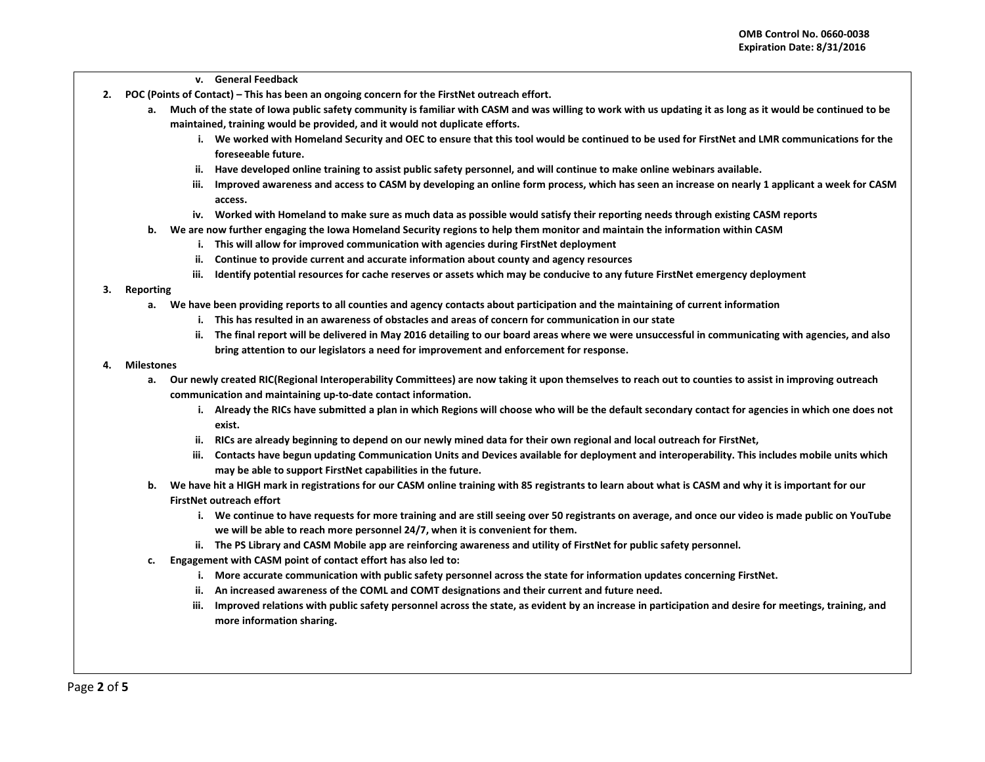- **v. General Feedback**
- **2. POC (Points of Contact) – This has been an ongoing concern for the FirstNet outreach effort.**
	- **a. Much of the state of Iowa public safety community is familiar with CASM and was willing to work with us updating it as long as it would be continued to be maintained, training would be provided, and it would not duplicate efforts.**
		- **i. We worked with Homeland Security and OEC to ensure that this tool would be continued to be used for FirstNet and LMR communications for the foreseeable future.**
		- **ii. Have developed online training to assist public safety personnel, and will continue to make online webinars available.**
		- **iii. Improved awareness and access to CASM by developing an online form process, which has seen an increase on nearly 1 applicant a week for CASM access.**
		- **iv. Worked with Homeland to make sure as much data as possible would satisfy their reporting needs through existing CASM reports**
	- **b. We are now further engaging the Iowa Homeland Security regions to help them monitor and maintain the information within CASM**
		- **i. This will allow for improved communication with agencies during FirstNet deployment**
		- **ii. Continue to provide current and accurate information about county and agency resources**
		- **iii. Identify potential resources for cache reserves or assets which may be conducive to any future FirstNet emergency deployment**

## **3. Reporting**

- **a. We have been providing reports to all counties and agency contacts about participation and the maintaining of current information**
	- **i. This has resulted in an awareness of obstacles and areas of concern for communication in our state**
	- **ii. The final report will be delivered in May 2016 detailing to our board areas where we were unsuccessful in communicating with agencies, and also bring attention to our legislators a need for improvement and enforcement for response.**

## **4. Milestones**

- **a. Our newly created RIC(Regional Interoperability Committees) are now taking it upon themselves to reach out to counties to assist in improving outreach communication and maintaining up-to-date contact information.**
	- **i. Already the RICs have submitted a plan in which Regions will choose who will be the default secondary contact for agencies in which one does not exist.**
	- **ii. RICs are already beginning to depend on our newly mined data for their own regional and local outreach for FirstNet,**
	- **iii. Contacts have begun updating Communication Units and Devices available for deployment and interoperability. This includes mobile units which may be able to support FirstNet capabilities in the future.**
- **b. We have hit a HIGH mark in registrations for our CASM online training with 85 registrants to learn about what is CASM and why it is important for our FirstNet outreach effort**
	- **i. We continue to have requests for more training and are still seeing over 50 registrants on average, and once our video is made public on YouTube we will be able to reach more personnel 24/7, when it is convenient for them.**
	- **ii. The PS Library and CASM Mobile app are reinforcing awareness and utility of FirstNet for public safety personnel.**
- **c. Engagement with CASM point of contact effort has also led to:**
	- **i. More accurate communication with public safety personnel across the state for information updates concerning FirstNet.**
	- **ii. An increased awareness of the COML and COMT designations and their current and future need.**
	- **iii. Improved relations with public safety personnel across the state, as evident by an increase in participation and desire for meetings, training, and more information sharing.**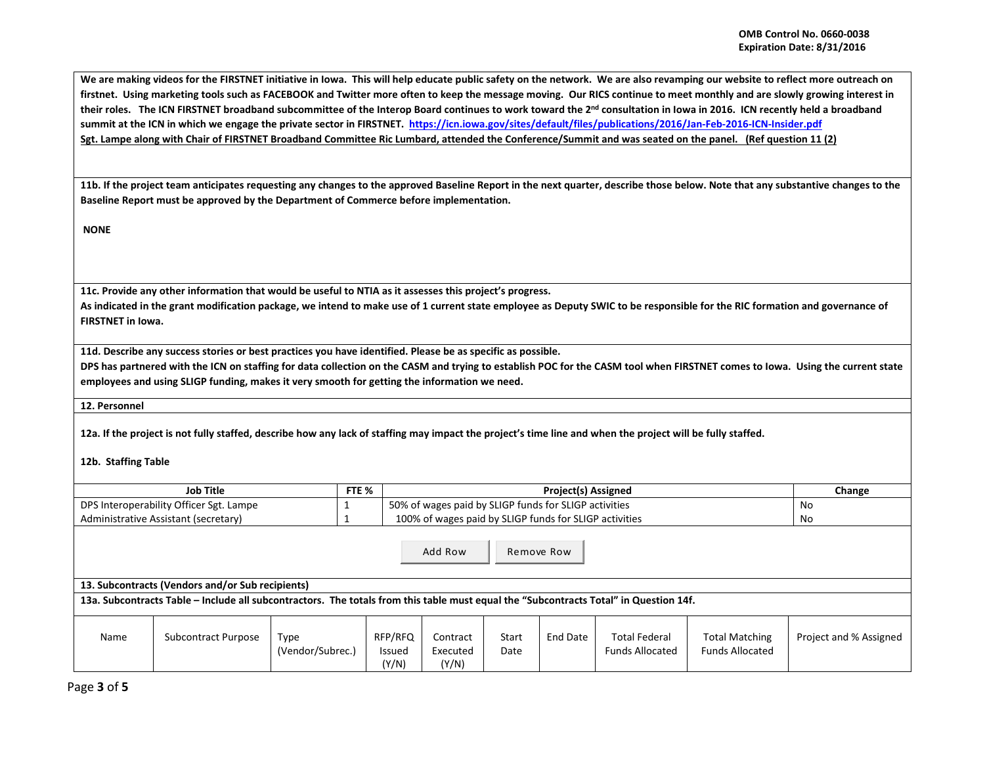We are making videos for the FIRSTNET initiative in Iowa. This will help educate public safety on the network. We are also revamping our website to reflect more outreach on **firstnet. Using marketing tools such as FACEBOOK and Twitter more often to keep the message moving. Our RICS continue to meet monthly and are slowly growing interest in their roles. The ICN FIRSTNET broadband subcommittee of the Interop Board continues to work toward the 2nd consultation in Iowa in 2016. ICN recently held a broadband summit at the ICN in which we engage the private sector in FIRSTNET. <https://icn.iowa.gov/sites/default/files/publications/2016/Jan-Feb-2016-ICN-Insider.pdf> Sgt. Lampe along with Chair of FIRSTNET Broadband Committee Ric Lumbard, attended the Conference/Summit and was seated on the panel. (Ref question 11 (2)**

**11b. If the project team anticipates requesting any changes to the approved Baseline Report in the next quarter, describe those below. Note that any substantive changes to the Baseline Report must be approved by the Department of Commerce before implementation.**

**NONE**

**11c. Provide any other information that would be useful to NTIA as it assesses this project's progress.** 

**As indicated in the grant modification package, we intend to make use of 1 current state employee as Deputy SWIC to be responsible for the RIC formation and governance of FIRSTNET in Iowa.** 

**11d. Describe any success stories or best practices you have identified. Please be as specific as possible.**

**DPS has partnered with the ICN on staffing for data collection on the CASM and trying to establish POC for the CASM tool when FIRSTNET comes to Iowa. Using the current state employees and using SLIGP funding, makes it very smooth for getting the information we need.**

**12. Personnel** 

**12a. If the project is not fully staffed, describe how any lack of staffing may impact the project's time line and when the project will be fully staffed.**

## **12b. Staffing Table**

| Job Title                               | FTE % | <b>Project(s) Assigned</b>                             | Change |
|-----------------------------------------|-------|--------------------------------------------------------|--------|
| DPS Interoperability Officer Sgt. Lampe |       | 50% of wages paid by SLIGP funds for SLIGP activities  | No     |
| Administrative Assistant (secretary)    |       | 100% of wages paid by SLIGP funds for SLIGP activities | No     |

Add Row Remove Row

**13. Subcontracts (Vendors and/or Sub recipients)**

**13a. Subcontracts Table – Include all subcontractors. The totals from this table must equal the "Subcontracts Total" in Question 14f.**

| Name | Subcontract Purpose | Type             | RFP/RFQ       | Contract | Start | End Date | Total Federal          | <b>Total Matching</b>  | Project and % Assigned |
|------|---------------------|------------------|---------------|----------|-------|----------|------------------------|------------------------|------------------------|
|      |                     | (Vendor/Subrec., | <b>Issued</b> | Executed | Date  |          | <b>Funds Allocated</b> | <b>Funds Allocated</b> |                        |
|      |                     |                  | (Y/N)         | (Y/N)    |       |          |                        |                        |                        |

Page **3** of **5**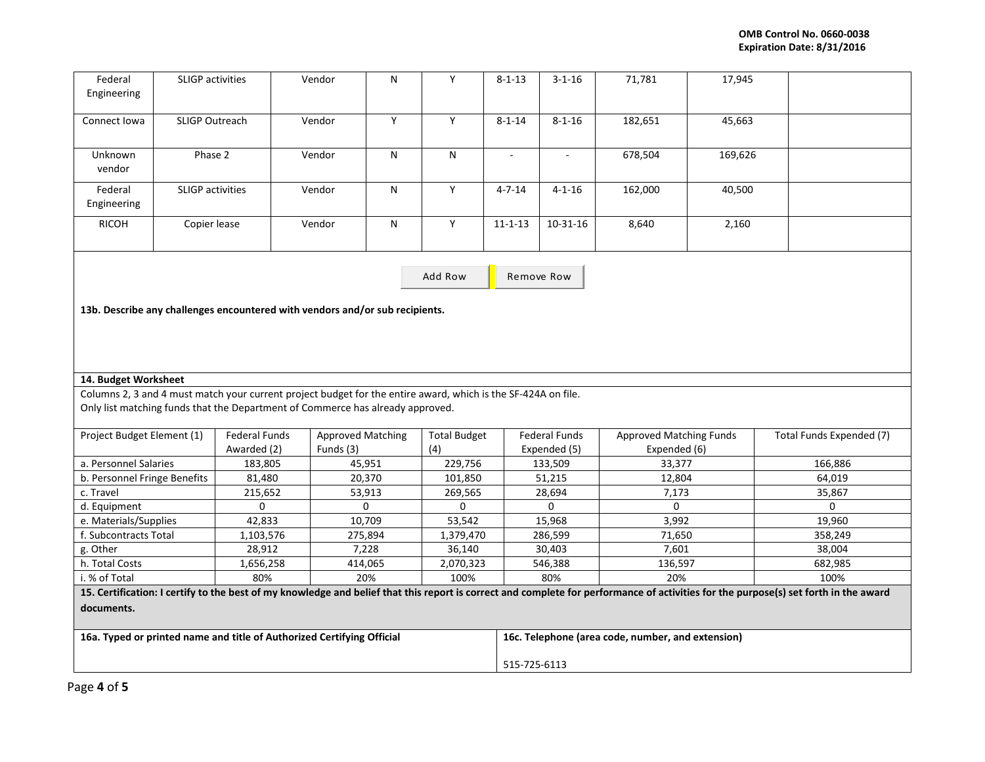| Federal<br>Engineering                                                                                                                                                                       | <b>SLIGP</b> activities     |                                                                              | Vendor                   | N                   | Y                   | $8 - 1 - 13$                                      | $3 - 1 - 16$                | 71,781                         | 17,945            |                          |  |  |
|----------------------------------------------------------------------------------------------------------------------------------------------------------------------------------------------|-----------------------------|------------------------------------------------------------------------------|--------------------------|---------------------|---------------------|---------------------------------------------------|-----------------------------|--------------------------------|-------------------|--------------------------|--|--|
| Connect Iowa                                                                                                                                                                                 | <b>SLIGP Outreach</b>       |                                                                              | Vendor                   | Y                   | Y                   | $8 - 1 - 14$                                      | $8 - 1 - 16$                | 182,651                        | 45,663            |                          |  |  |
| Unknown<br>vendor                                                                                                                                                                            | Phase 2                     |                                                                              | Vendor                   | $\mathsf{N}$        | N                   | $\blacksquare$                                    | $\overline{\phantom{a}}$    | 678,504                        | 169,626           |                          |  |  |
| Federal<br>Engineering                                                                                                                                                                       | SLIGP activities            |                                                                              | Vendor                   | N                   | Y                   | $4 - 7 - 14$                                      | $4 - 1 - 16$                | 162,000                        | 40,500            |                          |  |  |
| <b>RICOH</b>                                                                                                                                                                                 | Copier lease                |                                                                              | Vendor                   | ${\sf N}$           | Y                   | $11 - 1 - 13$                                     | $10-31-16$                  | 8,640                          | 2,160             |                          |  |  |
|                                                                                                                                                                                              |                             |                                                                              |                          |                     |                     | Remove Row                                        |                             |                                |                   |                          |  |  |
|                                                                                                                                                                                              |                             | 13b. Describe any challenges encountered with vendors and/or sub recipients. |                          |                     |                     |                                                   |                             |                                |                   |                          |  |  |
|                                                                                                                                                                                              |                             |                                                                              |                          |                     |                     |                                                   |                             |                                |                   |                          |  |  |
| 14. Budget Worksheet                                                                                                                                                                         |                             |                                                                              |                          |                     |                     |                                                   |                             |                                |                   |                          |  |  |
| Columns 2, 3 and 4 must match your current project budget for the entire award, which is the SF-424A on file.                                                                                |                             |                                                                              |                          |                     |                     |                                                   |                             |                                |                   |                          |  |  |
| Only list matching funds that the Department of Commerce has already approved.                                                                                                               |                             |                                                                              |                          |                     |                     |                                                   |                             |                                |                   |                          |  |  |
| Project Budget Element (1)                                                                                                                                                                   |                             | <b>Federal Funds</b>                                                         | <b>Approved Matching</b> |                     | <b>Total Budget</b> |                                                   | <b>Federal Funds</b>        | <b>Approved Matching Funds</b> |                   | Total Funds Expended (7) |  |  |
|                                                                                                                                                                                              |                             | Awarded (2)                                                                  | Funds (3)                |                     | (4)                 |                                                   | Expended (5)                | Expended (6)                   |                   |                          |  |  |
| a. Personnel Salaries                                                                                                                                                                        |                             | 183,805                                                                      | 45,951                   |                     | 229,756             |                                                   | 133,509                     | 33,377                         |                   | 166,886                  |  |  |
| b. Personnel Fringe Benefits                                                                                                                                                                 |                             | 81,480                                                                       | 20,370                   |                     | 101,850             |                                                   | 51,215                      | 12,804                         |                   | 64,019                   |  |  |
| c. Travel                                                                                                                                                                                    |                             | 215,652                                                                      | 53,913                   |                     | 269,565             |                                                   | 28,694<br>7,173<br>$\Omega$ |                                |                   | 35,867                   |  |  |
| d. Equipment                                                                                                                                                                                 |                             | $\mathbf 0$                                                                  | $\Omega$                 |                     | $\mathbf 0$         |                                                   | 0                           | 3,992                          |                   | $\Omega$<br>19,960       |  |  |
| e. Materials/Supplies<br>f. Subcontracts Total                                                                                                                                               |                             | 42,833                                                                       | 10,709<br>275,894        |                     | 53,542              |                                                   | 15,968                      |                                |                   |                          |  |  |
| 1,103,576<br>g. Other<br>28,912                                                                                                                                                              |                             |                                                                              |                          | 1,379,470<br>36,140 |                     | 286,599<br>30,403                                 | 71,650<br>7,601             |                                | 358,249<br>38,004 |                          |  |  |
|                                                                                                                                                                                              | h. Total Costs<br>1,656,258 |                                                                              | 7,228<br>414,065         |                     | 2,070,323           |                                                   |                             | 136,597                        |                   | 682,985                  |  |  |
| i. % of Total<br>80%                                                                                                                                                                         |                             | 20%                                                                          |                          |                     |                     | 546,388<br>80%<br>20%                             |                             |                                | 100%              |                          |  |  |
| 100%<br>15. Certification: I certify to the best of my knowledge and belief that this report is correct and complete for performance of activities for the purpose(s) set forth in the award |                             |                                                                              |                          |                     |                     |                                                   |                             |                                |                   |                          |  |  |
|                                                                                                                                                                                              |                             |                                                                              |                          |                     |                     |                                                   |                             |                                |                   |                          |  |  |
| documents.                                                                                                                                                                                   |                             |                                                                              |                          |                     |                     |                                                   |                             |                                |                   |                          |  |  |
|                                                                                                                                                                                              |                             | 16a. Typed or printed name and title of Authorized Certifying Official       |                          |                     |                     | 16c. Telephone (area code, number, and extension) |                             |                                |                   |                          |  |  |
|                                                                                                                                                                                              |                             |                                                                              |                          |                     |                     |                                                   | 515-725-6113                |                                |                   |                          |  |  |